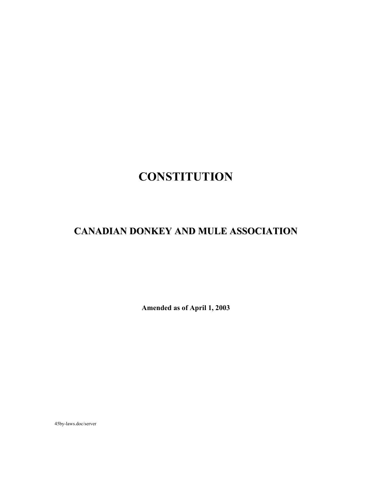# **CONSTITUTION**

## **CANADIAN DONKEY AND MULE ASSOCIATION**

**Amended as of April 1, 2003** 

45by-laws.doc/server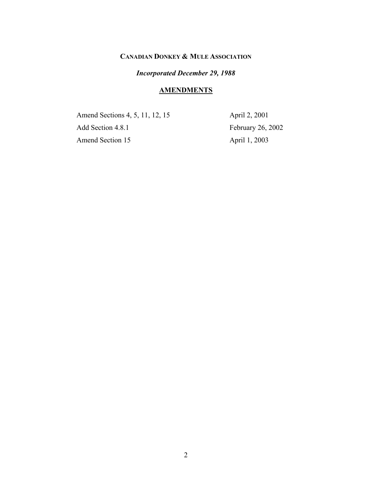## **CANADIAN DONKEY & MULE ASSOCIATION**

## *Incorporated December 29, 1988*

#### **AMENDMENTS**

Amend Sections 4, 5, 11, 12, 15 April 2, 2001 Add Section 4.8.1 February 26, 2002 Amend Section 15 April 1, 2003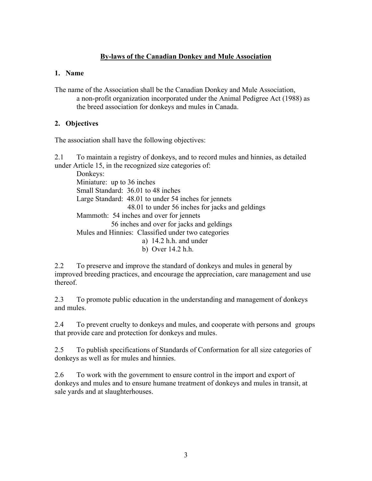## **By-laws of the Canadian Donkey and Mule Association**

#### **1. Name**

The name of the Association shall be the Canadian Donkey and Mule Association, a non-profit organization incorporated under the Animal Pedigree Act (1988) as the breed association for donkeys and mules in Canada.

## **2. Objectives**

The association shall have the following objectives:

2.1 To maintain a registry of donkeys, and to record mules and hinnies, as detailed under Article 15, in the recognized size categories of:

 Donkeys: Miniature: up to 36 inches Small Standard: 36.01 to 48 inches Large Standard: 48.01 to under 54 inches for jennets 48.01 to under 56 inches for jacks and geldings Mammoth: 54 inches and over for jennets 56 inches and over for jacks and geldings Mules and Hinnies: Classified under two categories a) 14.2 h.h. and under b) Over 14.2 h.h.

2.2 To preserve and improve the standard of donkeys and mules in general by improved breeding practices, and encourage the appreciation, care management and use thereof.

2.3 To promote public education in the understanding and management of donkeys and mules.

2.4 To prevent cruelty to donkeys and mules, and cooperate with persons and groups that provide care and protection for donkeys and mules.

2.5 To publish specifications of Standards of Conformation for all size categories of donkeys as well as for mules and hinnies.

2.6 To work with the government to ensure control in the import and export of donkeys and mules and to ensure humane treatment of donkeys and mules in transit, at sale yards and at slaughterhouses.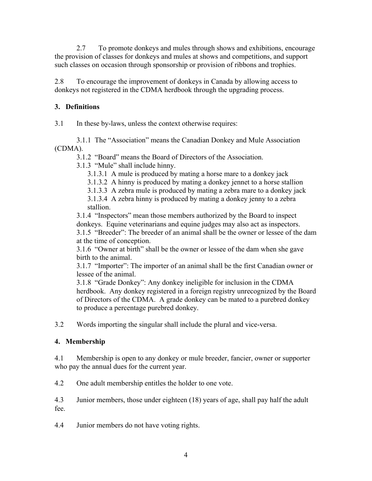2.7 To promote donkeys and mules through shows and exhibitions, encourage the provision of classes for donkeys and mules at shows and competitions, and support such classes on occasion through sponsorship or provision of ribbons and trophies.

2.8 To encourage the improvement of donkeys in Canada by allowing access to donkeys not registered in the CDMA herdbook through the upgrading process.

## **3. Definitions**

3.1 In these by-laws, unless the context otherwise requires:

 3.1.1 The "Association" means the Canadian Donkey and Mule Association (CDMA).

3.1.2 "Board" means the Board of Directors of the Association.

3.1.3 "Mule" shall include hinny.

3.1.3.1 A mule is produced by mating a horse mare to a donkey jack

3.1.3.2 A hinny is produced by mating a donkey jennet to a horse stallion

3.1.3.3 A zebra mule is produced by mating a zebra mare to a donkey jack

 3.1.3.4 A zebra hinny is produced by mating a donkey jenny to a zebra stallion.

 3.1.4 "Inspectors" mean those members authorized by the Board to inspect donkeys. Equine veterinarians and equine judges may also act as inspectors. 3.1.5 "Breeder": The breeder of an animal shall be the owner or lessee of the dam at the time of conception.

 3.1.6 "Owner at birth" shall be the owner or lessee of the dam when she gave birth to the animal.

 3.1.7 "Importer": The importer of an animal shall be the first Canadian owner or lessee of the animal.

 3.1.8 "Grade Donkey": Any donkey ineligible for inclusion in the CDMA herdbook. Any donkey registered in a foreign registry unrecognized by the Board of Directors of the CDMA. A grade donkey can be mated to a purebred donkey to produce a percentage purebred donkey.

3.2 Words importing the singular shall include the plural and vice-versa.

## **4. Membership**

4.1 Membership is open to any donkey or mule breeder, fancier, owner or supporter who pay the annual dues for the current year.

4.2 One adult membership entitles the holder to one vote.

4.3 Junior members, those under eighteen (18) years of age, shall pay half the adult fee.

4.4 Junior members do not have voting rights.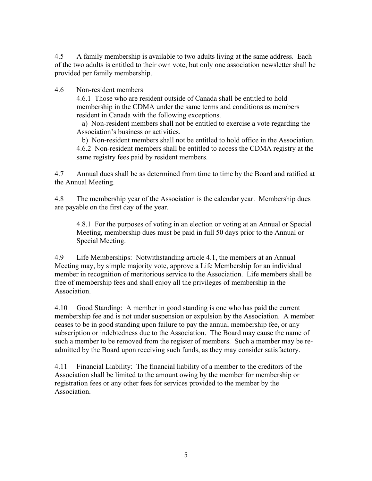4.5 A family membership is available to two adults living at the same address. Each of the two adults is entitled to their own vote, but only one association newsletter shall be provided per family membership.

#### 4.6 Non-resident members

 4.6.1 Those who are resident outside of Canada shall be entitled to hold membership in the CDMA under the same terms and conditions as members resident in Canada with the following exceptions.

 a) Non-resident members shall not be entitled to exercise a vote regarding the Association's business or activities.

 b) Non-resident members shall not be entitled to hold office in the Association. 4.6.2 Non-resident members shall be entitled to access the CDMA registry at the same registry fees paid by resident members.

4.7 Annual dues shall be as determined from time to time by the Board and ratified at the Annual Meeting.

4.8 The membership year of the Association is the calendar year. Membership dues are payable on the first day of the year.

 4.8.1 For the purposes of voting in an election or voting at an Annual or Special Meeting, membership dues must be paid in full 50 days prior to the Annual or Special Meeting.

4.9 Life Memberships: Notwithstanding article 4.1, the members at an Annual Meeting may, by simple majority vote, approve a Life Membership for an individual member in recognition of meritorious service to the Association. Life members shall be free of membership fees and shall enjoy all the privileges of membership in the Association.

4.10 Good Standing: A member in good standing is one who has paid the current membership fee and is not under suspension or expulsion by the Association. A member ceases to be in good standing upon failure to pay the annual membership fee, or any subscription or indebtedness due to the Association. The Board may cause the name of such a member to be removed from the register of members. Such a member may be readmitted by the Board upon receiving such funds, as they may consider satisfactory.

4.11 Financial Liability: The financial liability of a member to the creditors of the Association shall be limited to the amount owing by the member for membership or registration fees or any other fees for services provided to the member by the **Association**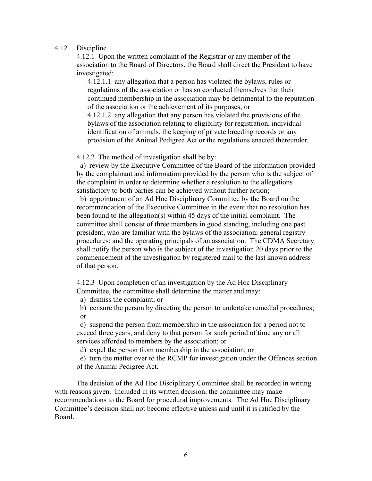#### 4.12 Discipline

 4.12.1 Upon the written complaint of the Registrar or any member of the association to the Board of Directors, the Board shall direct the President to have investigated:

 4.12.1.1 any allegation that a person has violated the bylaws, rules or regulations of the association or has so conducted themselves that their continued membership in the association may be detrimental to the reputation of the association or the achievement of its purposes; or

 4.12.1.2 any allegation that any person has violated the provisions of the bylaws of the association relating to eligibility for registration, individual identification of animals, the keeping of private breeding records or any provision of the Animal Pedigree Act or the regulations enacted thereunder.

4.12.2 The method of investigation shall be by:

 a) review by the Executive Committee of the Board of the information provided by the complainant and information provided by the person who is the subject of the complaint in order to determine whether a resolution to the allegations satisfactory to both parties can be achieved without further action;

 b) appointment of an Ad Hoc Disciplinary Committee by the Board on the recommendation of the Executive Committee in the event that no resolution has been found to the allegation(s) within 45 days of the initial complaint. The committee shall consist of three members in good standing, including one past president, who are familiar with the bylaws of the association; general registry procedures; and the operating principals of an association. The CDMA Secretary shall notify the person who is the subject of the investigation 20 days prior to the commencement of the investigation by registered mail to the last known address of that person.

 4.12.3 Upon completion of an investigation by the Ad Hoc Disciplinary Committee, the committee shall determine the matter and may:

a) dismiss the complaint; or

 b) censure the person by directing the person to undertake remedial procedures; or

 c) suspend the person from membership in the association for a period not to exceed three years, and deny to that person for such period of time any or all services afforded to members by the association; or

d) expel the person from membership in the association; or

 e) turn the matter over to the RCMP for investigation under the Offences section of the Animal Pedigree Act.

 The decision of the Ad Hoc Disciplinary Committee shall be recorded in writing with reasons given. Included in its written decision, the committee may make recommendations to the Board for procedural improvements. The Ad Hoc Disciplinary Committee's decision shall not become effective unless and until it is ratified by the Board.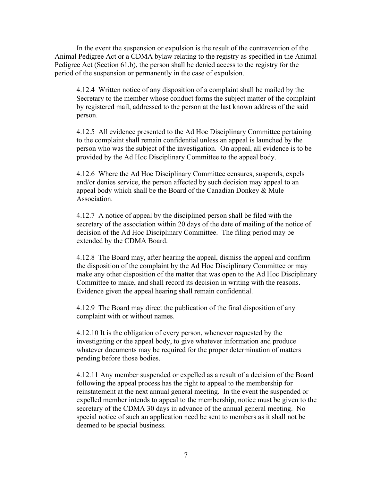In the event the suspension or expulsion is the result of the contravention of the Animal Pedigree Act or a CDMA bylaw relating to the registry as specified in the Animal Pedigree Act (Section 61.b), the person shall be denied access to the registry for the period of the suspension or permanently in the case of expulsion.

 4.12.4 Written notice of any disposition of a complaint shall be mailed by the Secretary to the member whose conduct forms the subject matter of the complaint by registered mail, addressed to the person at the last known address of the said person.

 4.12.5 All evidence presented to the Ad Hoc Disciplinary Committee pertaining to the complaint shall remain confidential unless an appeal is launched by the person who was the subject of the investigation. On appeal, all evidence is to be provided by the Ad Hoc Disciplinary Committee to the appeal body.

 4.12.6 Where the Ad Hoc Disciplinary Committee censures, suspends, expels and/or denies service, the person affected by such decision may appeal to an appeal body which shall be the Board of the Canadian Donkey & Mule **Association** 

 4.12.7 A notice of appeal by the disciplined person shall be filed with the secretary of the association within 20 days of the date of mailing of the notice of decision of the Ad Hoc Disciplinary Committee. The filing period may be extended by the CDMA Board.

 4.12.8 The Board may, after hearing the appeal, dismiss the appeal and confirm the disposition of the complaint by the Ad Hoc Disciplinary Committee or may make any other disposition of the matter that was open to the Ad Hoc Disciplinary Committee to make, and shall record its decision in writing with the reasons. Evidence given the appeal hearing shall remain confidential.

 4.12.9 The Board may direct the publication of the final disposition of any complaint with or without names.

 4.12.10 It is the obligation of every person, whenever requested by the investigating or the appeal body, to give whatever information and produce whatever documents may be required for the proper determination of matters pending before those bodies.

 4.12.11 Any member suspended or expelled as a result of a decision of the Board following the appeal process has the right to appeal to the membership for reinstatement at the next annual general meeting. In the event the suspended or expelled member intends to appeal to the membership, notice must be given to the secretary of the CDMA 30 days in advance of the annual general meeting. No special notice of such an application need be sent to members as it shall not be deemed to be special business.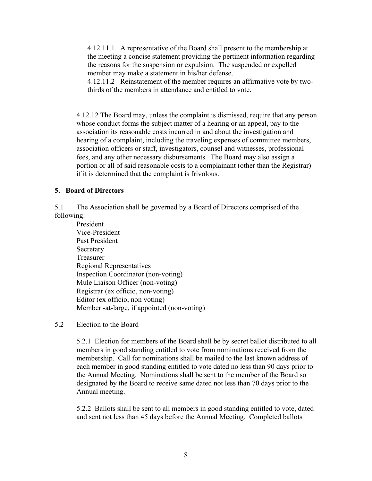4.12.11.1 A representative of the Board shall present to the membership at the meeting a concise statement providing the pertinent information regarding the reasons for the suspension or expulsion. The suspended or expelled member may make a statement in his/her defense.

 4.12.11.2 Reinstatement of the member requires an affirmative vote by two thirds of the members in attendance and entitled to vote.

 4.12.12 The Board may, unless the complaint is dismissed, require that any person whose conduct forms the subject matter of a hearing or an appeal, pay to the association its reasonable costs incurred in and about the investigation and hearing of a complaint, including the traveling expenses of committee members, association officers or staff, investigators, counsel and witnesses, professional fees, and any other necessary disbursements. The Board may also assign a portion or all of said reasonable costs to a complainant (other than the Registrar) if it is determined that the complaint is frivolous.

#### **5. Board of Directors**

5.1 The Association shall be governed by a Board of Directors comprised of the following:

 President Vice-President Past President **Secretary**  Treasurer Regional Representatives Inspection Coordinator (non-voting) Mule Liaison Officer (non-voting) Registrar (ex officio, non-voting) Editor (ex officio, non voting) Member -at-large, if appointed (non-voting)

## 5.2 Election to the Board

 5.2.1 Election for members of the Board shall be by secret ballot distributed to all members in good standing entitled to vote from nominations received from the membership. Call for nominations shall be mailed to the last known address of each member in good standing entitled to vote dated no less than 90 days prior to the Annual Meeting. Nominations shall be sent to the member of the Board so designated by the Board to receive same dated not less than 70 days prior to the Annual meeting.

 5.2.2 Ballots shall be sent to all members in good standing entitled to vote, dated and sent not less than 45 days before the Annual Meeting. Completed ballots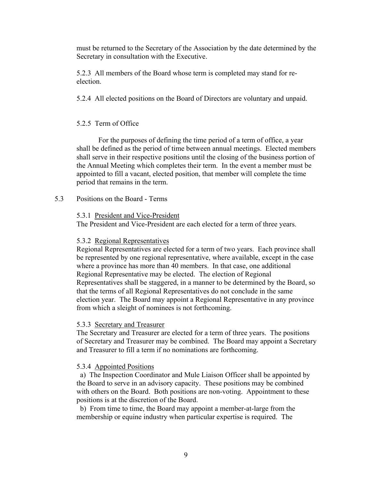must be returned to the Secretary of the Association by the date determined by the Secretary in consultation with the Executive.

 5.2.3 All members of the Board whose term is completed may stand for re election.

5.2.4 All elected positions on the Board of Directors are voluntary and unpaid.

## 5.2.5 Term of Office

 For the purposes of defining the time period of a term of office, a year shall be defined as the period of time between annual meetings. Elected members shall serve in their respective positions until the closing of the business portion of the Annual Meeting which completes their term. In the event a member must be appointed to fill a vacant, elected position, that member will complete the time period that remains in the term.

5.3 Positions on the Board - Terms

#### 5.3.1 President and Vice-President

The President and Vice-President are each elected for a term of three years.

#### 5.3.2 Regional Representatives

 Regional Representatives are elected for a term of two years. Each province shall be represented by one regional representative, where available, except in the case where a province has more than 40 members. In that case, one additional Regional Representative may be elected. The election of Regional Representatives shall be staggered, in a manner to be determined by the Board, so that the terms of all Regional Representatives do not conclude in the same election year. The Board may appoint a Regional Representative in any province from which a sleight of nominees is not forthcoming.

#### 5.3.3 Secretary and Treasurer

 The Secretary and Treasurer are elected for a term of three years. The positions of Secretary and Treasurer may be combined. The Board may appoint a Secretary and Treasurer to fill a term if no nominations are forthcoming.

## 5.3.4 Appointed Positions

 a) The Inspection Coordinator and Mule Liaison Officer shall be appointed by the Board to serve in an advisory capacity. These positions may be combined with others on the Board. Both positions are non-voting. Appointment to these positions is at the discretion of the Board.

 b) From time to time, the Board may appoint a member-at-large from the membership or equine industry when particular expertise is required. The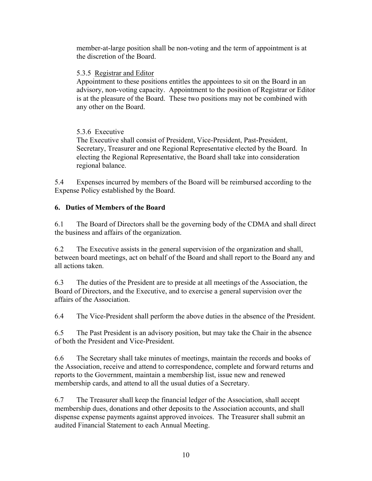member-at-large position shall be non-voting and the term of appointment is at the discretion of the Board.

## 5.3.5 Registrar and Editor

 Appointment to these positions entitles the appointees to sit on the Board in an advisory, non-voting capacity. Appointment to the position of Registrar or Editor is at the pleasure of the Board. These two positions may not be combined with any other on the Board.

## 5.3.6 Executive

 The Executive shall consist of President, Vice-President, Past-President, Secretary, Treasurer and one Regional Representative elected by the Board. In electing the Regional Representative, the Board shall take into consideration regional balance.

5.4 Expenses incurred by members of the Board will be reimbursed according to the Expense Policy established by the Board.

## **6. Duties of Members of the Board**

6.1 The Board of Directors shall be the governing body of the CDMA and shall direct the business and affairs of the organization.

6.2 The Executive assists in the general supervision of the organization and shall, between board meetings, act on behalf of the Board and shall report to the Board any and all actions taken.

6.3 The duties of the President are to preside at all meetings of the Association, the Board of Directors, and the Executive, and to exercise a general supervision over the affairs of the Association.

6.4 The Vice-President shall perform the above duties in the absence of the President.

6.5 The Past President is an advisory position, but may take the Chair in the absence of both the President and Vice-President.

6.6 The Secretary shall take minutes of meetings, maintain the records and books of the Association, receive and attend to correspondence, complete and forward returns and reports to the Government, maintain a membership list, issue new and renewed membership cards, and attend to all the usual duties of a Secretary.

6.7 The Treasurer shall keep the financial ledger of the Association, shall accept membership dues, donations and other deposits to the Association accounts, and shall dispense expense payments against approved invoices. The Treasurer shall submit an audited Financial Statement to each Annual Meeting.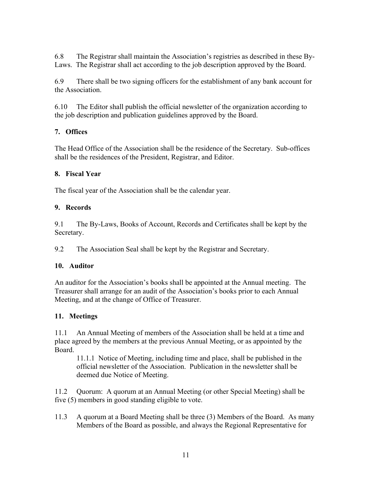6.8 The Registrar shall maintain the Association's registries as described in these By-Laws. The Registrar shall act according to the job description approved by the Board.

6.9 There shall be two signing officers for the establishment of any bank account for the Association.

6.10 The Editor shall publish the official newsletter of the organization according to the job description and publication guidelines approved by the Board.

## **7. Offices**

The Head Office of the Association shall be the residence of the Secretary. Sub-offices shall be the residences of the President, Registrar, and Editor.

## **8. Fiscal Year**

The fiscal year of the Association shall be the calendar year.

## **9. Records**

9.1 The By-Laws, Books of Account, Records and Certificates shall be kept by the Secretary.

9.2 The Association Seal shall be kept by the Registrar and Secretary.

## **10. Auditor**

An auditor for the Association's books shall be appointed at the Annual meeting. The Treasurer shall arrange for an audit of the Association's books prior to each Annual Meeting, and at the change of Office of Treasurer.

## **11. Meetings**

11.1 An Annual Meeting of members of the Association shall be held at a time and place agreed by the members at the previous Annual Meeting, or as appointed by the Board.

 11.1.1 Notice of Meeting, including time and place, shall be published in the official newsletter of the Association. Publication in the newsletter shall be deemed due Notice of Meeting.

11.2 Quorum: A quorum at an Annual Meeting (or other Special Meeting) shall be five (5) members in good standing eligible to vote.

11.3 A quorum at a Board Meeting shall be three (3) Members of the Board. As many Members of the Board as possible, and always the Regional Representative for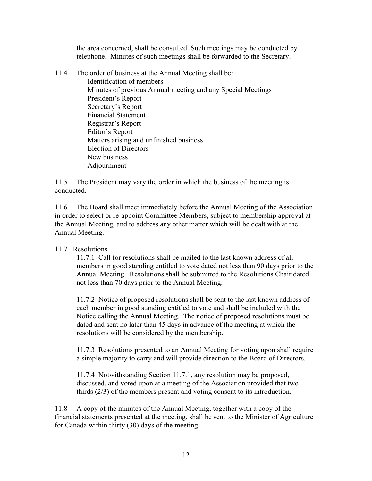the area concerned, shall be consulted. Such meetings may be conducted by telephone. Minutes of such meetings shall be forwarded to the Secretary.

- 11.4 The order of business at the Annual Meeting shall be:
	- Identification of members Minutes of previous Annual meeting and any Special Meetings President's Report Secretary's Report Financial Statement Registrar's Report Editor's Report Matters arising and unfinished business Election of Directors New business Adjournment

11.5 The President may vary the order in which the business of the meeting is conducted.

11.6 The Board shall meet immediately before the Annual Meeting of the Association in order to select or re-appoint Committee Members, subject to membership approval at the Annual Meeting, and to address any other matter which will be dealt with at the Annual Meeting.

## 11.7 Resolutions

 11.7.1 Call for resolutions shall be mailed to the last known address of all members in good standing entitled to vote dated not less than 90 days prior to the Annual Meeting. Resolutions shall be submitted to the Resolutions Chair dated not less than 70 days prior to the Annual Meeting.

 11.7.2 Notice of proposed resolutions shall be sent to the last known address of each member in good standing entitled to vote and shall be included with the Notice calling the Annual Meeting. The notice of proposed resolutions must be dated and sent no later than 45 days in advance of the meeting at which the resolutions will be considered by the membership.

 11.7.3 Resolutions presented to an Annual Meeting for voting upon shall require a simple majority to carry and will provide direction to the Board of Directors.

 11.7.4 Notwithstanding Section 11.7.1, any resolution may be proposed, discussed, and voted upon at a meeting of the Association provided that two thirds (2/3) of the members present and voting consent to its introduction.

11.8 A copy of the minutes of the Annual Meeting, together with a copy of the financial statements presented at the meeting, shall be sent to the Minister of Agriculture for Canada within thirty (30) days of the meeting.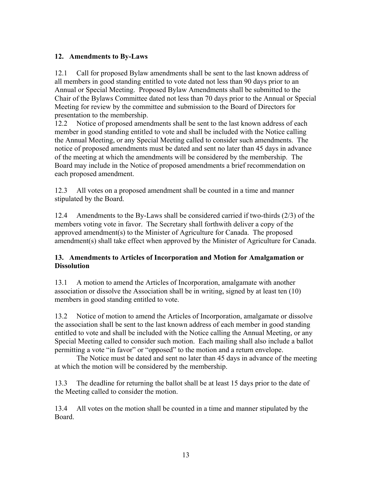## **12. Amendments to By-Laws**

12.1 Call for proposed Bylaw amendments shall be sent to the last known address of all members in good standing entitled to vote dated not less than 90 days prior to an Annual or Special Meeting. Proposed Bylaw Amendments shall be submitted to the Chair of the Bylaws Committee dated not less than 70 days prior to the Annual or Special Meeting for review by the committee and submission to the Board of Directors for presentation to the membership.

12.2 Notice of proposed amendments shall be sent to the last known address of each member in good standing entitled to vote and shall be included with the Notice calling the Annual Meeting, or any Special Meeting called to consider such amendments. The notice of proposed amendments must be dated and sent no later than 45 days in advance of the meeting at which the amendments will be considered by the membership. The Board may include in the Notice of proposed amendments a brief recommendation on each proposed amendment.

12.3 All votes on a proposed amendment shall be counted in a time and manner stipulated by the Board.

12.4 Amendments to the By-Laws shall be considered carried if two-thirds (2/3) of the members voting vote in favor. The Secretary shall forthwith deliver a copy of the approved amendment(s) to the Minister of Agriculture for Canada. The proposed amendment(s) shall take effect when approved by the Minister of Agriculture for Canada.

## **13. Amendments to Articles of Incorporation and Motion for Amalgamation or Dissolution**

13.1 A motion to amend the Articles of Incorporation, amalgamate with another association or dissolve the Association shall be in writing, signed by at least ten (10) members in good standing entitled to vote.

13.2 Notice of motion to amend the Articles of Incorporation, amalgamate or dissolve the association shall be sent to the last known address of each member in good standing entitled to vote and shall be included with the Notice calling the Annual Meeting, or any Special Meeting called to consider such motion. Each mailing shall also include a ballot permitting a vote "in favor" or "opposed" to the motion and a return envelope.

 The Notice must be dated and sent no later than 45 days in advance of the meeting at which the motion will be considered by the membership.

13.3 The deadline for returning the ballot shall be at least 15 days prior to the date of the Meeting called to consider the motion.

13.4 All votes on the motion shall be counted in a time and manner stipulated by the Board.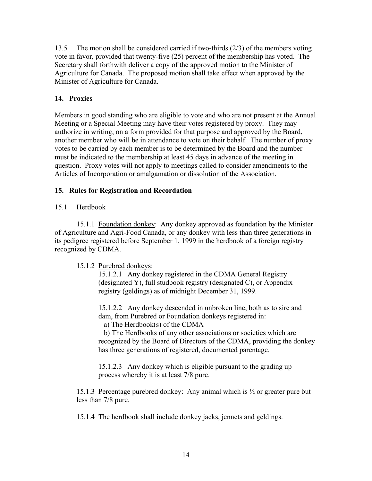13.5 The motion shall be considered carried if two-thirds (2/3) of the members voting vote in favor, provided that twenty-five (25) percent of the membership has voted. The Secretary shall forthwith deliver a copy of the approved motion to the Minister of Agriculture for Canada. The proposed motion shall take effect when approved by the Minister of Agriculture for Canada.

## **14. Proxies**

Members in good standing who are eligible to vote and who are not present at the Annual Meeting or a Special Meeting may have their votes registered by proxy. They may authorize in writing, on a form provided for that purpose and approved by the Board, another member who will be in attendance to vote on their behalf. The number of proxy votes to be carried by each member is to be determined by the Board and the number must be indicated to the membership at least 45 days in advance of the meeting in question. Proxy votes will not apply to meetings called to consider amendments to the Articles of Incorporation or amalgamation or dissolution of the Association.

## **15. Rules for Registration and Recordation**

## 15.1 Herdbook

 15.1.1 Foundation donkey: Any donkey approved as foundation by the Minister of Agriculture and Agri-Food Canada, or any donkey with less than three generations in its pedigree registered before September 1, 1999 in the herdbook of a foreign registry recognized by CDMA.

## 15.1.2 Purebred donkeys:

 15.1.2.1 Any donkey registered in the CDMA General Registry (designated Y), full studbook registry (designated C), or Appendix registry (geldings) as of midnight December 31, 1999.

 15.1.2.2 Any donkey descended in unbroken line, both as to sire and dam, from Purebred or Foundation donkeys registered in:

a) The Herdbook(s) of the CDMA

 b) The Herdbooks of any other associations or societies which are recognized by the Board of Directors of the CDMA, providing the donkey has three generations of registered, documented parentage.

 15.1.2.3 Any donkey which is eligible pursuant to the grading up process whereby it is at least 7/8 pure.

 15.1.3 Percentage purebred donkey: Any animal which is ½ or greater pure but less than 7/8 pure.

15.1.4 The herdbook shall include donkey jacks, jennets and geldings.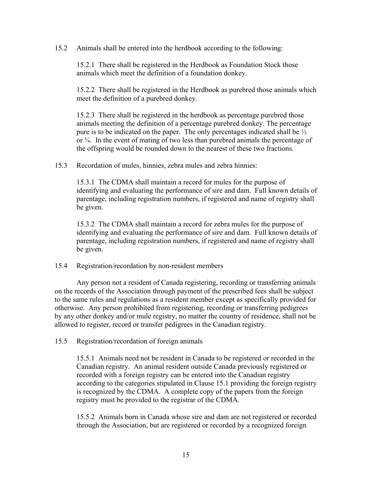15.2 Animals shall be entered into the herdbook according to the following:

 15.2.1 There shall be registered in the Herdbook as Foundation Stock those animals which meet the definition of a foundation donkey.

 15.2.2 There shall be registered in the Herdbook as purebred those animals which meet the definition of a purebred donkey.

 15.2.3 There shall be registered in the herdbook as percentage purebred those animals meeting the definition of a percentage purebred donkey. The percentage pure is to be indicated on the paper. The only percentages indicated shall be ½ or ¾. In the event of mating of two less than purebred animals the percentage of the offspring would be rounded down to the nearest of these two fractions.

15.3 Recordation of mules, hinnies, zebra mules and zebra hinnies:

 15.3.1 The CDMA shall maintain a record for mules for the purpose of identifying and evaluating the performance of sire and dam. Full known details of parentage, including registration numbers, if registered and name of registry shall be given.

 15.3.2 The CDMA shall maintain a record for zebra mules for the purpose of identifying and evaluating the performance of sire and dam. Full known details of parentage, including registration numbers, if registered and name of registry shall be given.

15.4 Registration/recordation by non-resident members

 Any person not a resident of Canada registering, recording or transferring animals on the records of the Association through payment of the prescribed fees shall be subject to the same rules and regulations as a resident member except as specifically provided for otherwise. Any person prohibited from registering, recording or transferring pedigrees by any other donkey and/or mule registry, no matter the country of residence, shall not be allowed to register, record or transfer pedigrees in the Canadian registry.

15.5 Registration/recordation of foreign animals

 15.5.1 Animals need not be resident in Canada to be registered or recorded in the Canadian registry. An animal resident outside Canada previously registered or recorded with a foreign registry can be entered into the Canadian registry according to the categories stipulated in Clause 15.1 providing the foreign registry is recognized by the CDMA. A complete copy of the papers from the foreign registry must be provided to the registrar of the CDMA.

 15.5.2 Animals born in Canada whose sire and dam are not registered or recorded through the Association, but are registered or recorded by a recognized foreign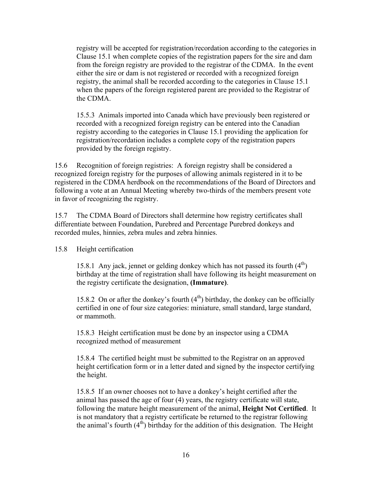registry will be accepted for registration/recordation according to the categories in Clause 15.1 when complete copies of the registration papers for the sire and dam from the foreign registry are provided to the registrar of the CDMA. In the event either the sire or dam is not registered or recorded with a recognized foreign registry, the animal shall be recorded according to the categories in Clause 15.1 when the papers of the foreign registered parent are provided to the Registrar of the CDMA.

 15.5.3 Animals imported into Canada which have previously been registered or recorded with a recognized foreign registry can be entered into the Canadian registry according to the categories in Clause 15.1 providing the application for registration/recordation includes a complete copy of the registration papers provided by the foreign registry.

15.6 Recognition of foreign registries: A foreign registry shall be considered a recognized foreign registry for the purposes of allowing animals registered in it to be registered in the CDMA herdbook on the recommendations of the Board of Directors and following a vote at an Annual Meeting whereby two-thirds of the members present vote in favor of recognizing the registry.

15.7 The CDMA Board of Directors shall determine how registry certificates shall differentiate between Foundation, Purebred and Percentage Purebred donkeys and recorded mules, hinnies, zebra mules and zebra hinnies.

15.8 Height certification

15.8.1 Any jack, jennet or gelding donkey which has not passed its fourth  $(4<sup>th</sup>)$  birthday at the time of registration shall have following its height measurement on the registry certificate the designation, **(Immature)**.

15.8.2 On or after the donkey's fourth  $(4<sup>th</sup>)$  birthday, the donkey can be officially certified in one of four size categories: miniature, small standard, large standard, or mammoth.

 15.8.3 Height certification must be done by an inspector using a CDMA recognized method of measurement

 15.8.4 The certified height must be submitted to the Registrar on an approved height certification form or in a letter dated and signed by the inspector certifying the height.

 15.8.5 If an owner chooses not to have a donkey's height certified after the animal has passed the age of four (4) years, the registry certificate will state, following the mature height measurement of the animal, **Height Not Certified**. It is not mandatory that a registry certificate be returned to the registrar following the animal's fourth  $(4<sup>th</sup>)$  birthday for the addition of this designation. The Height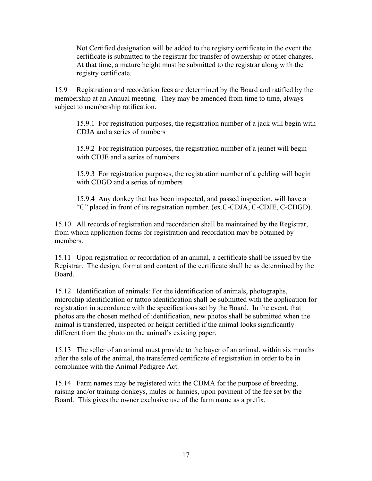Not Certified designation will be added to the registry certificate in the event the certificate is submitted to the registrar for transfer of ownership or other changes. At that time, a mature height must be submitted to the registrar along with the registry certificate.

15.9 Registration and recordation fees are determined by the Board and ratified by the membership at an Annual meeting. They may be amended from time to time, always subject to membership ratification.

 15.9.1 For registration purposes, the registration number of a jack will begin with CDJA and a series of numbers

 15.9.2 For registration purposes, the registration number of a jennet will begin with CDJE and a series of numbers

 15.9.3 For registration purposes, the registration number of a gelding will begin with CDGD and a series of numbers

 15.9.4 Any donkey that has been inspected, and passed inspection, will have a "C" placed in front of its registration number. (ex.C-CDJA, C-CDJE, C-CDGD).

15.10 All records of registration and recordation shall be maintained by the Registrar, from whom application forms for registration and recordation may be obtained by members.

15.11 Upon registration or recordation of an animal, a certificate shall be issued by the Registrar. The design, format and content of the certificate shall be as determined by the Board.

15.12 Identification of animals: For the identification of animals, photographs, microchip identification or tattoo identification shall be submitted with the application for registration in accordance with the specifications set by the Board. In the event, that photos are the chosen method of identification, new photos shall be submitted when the animal is transferred, inspected or height certified if the animal looks significantly different from the photo on the animal's existing paper.

15.13 The seller of an animal must provide to the buyer of an animal, within six months after the sale of the animal, the transferred certificate of registration in order to be in compliance with the Animal Pedigree Act.

15.14 Farm names may be registered with the CDMA for the purpose of breeding, raising and/or training donkeys, mules or hinnies, upon payment of the fee set by the Board. This gives the owner exclusive use of the farm name as a prefix.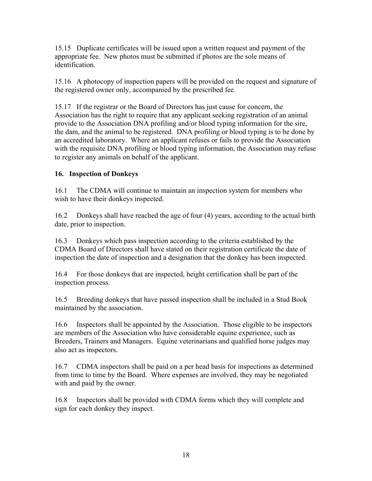15.15 Duplicate certificates will be issued upon a written request and payment of the appropriate fee. New photos must be submitted if photos are the sole means of identification.

15.16 A photocopy of inspection papers will be provided on the request and signature of the registered owner only, accompanied by the prescribed fee.

15.17 If the registrar or the Board of Directors has just cause for concern, the Association has the right to require that any applicant seeking registration of an animal provide to the Association DNA profiling and/or blood typing information for the sire, the dam, and the animal to be registered. DNA profiling or blood typing is to be done by an accredited laboratory. Where an applicant refuses or fails to provide the Association with the requisite DNA profiling or blood typing information, the Association may refuse to register any animals on behalf of the applicant.

## **16. Inspection of Donkeys**

16.1 The CDMA will continue to maintain an inspection system for members who wish to have their donkeys inspected.

16.2 Donkeys shall have reached the age of four (4) years, according to the actual birth date, prior to inspection.

16.3 Donkeys which pass inspection according to the criteria established by the CDMA Board of Directors shall have stated on their registration certificate the date of inspection the date of inspection and a designation that the donkey has been inspected.

16.4 For those donkeys that are inspected, height certification shall be part of the inspection process.

16.5 Breeding donkeys that have passed inspection shall be included in a Stud Book maintained by the association.

16.6 Inspectors shall be appointed by the Association. Those eligible to be inspectors are members of the Association who have considerable equine experience, such as Breeders, Trainers and Managers. Equine veterinarians and qualified horse judges may also act as inspectors.

16.7 CDMA inspectors shall be paid on a per head basis for inspections as determined from time to time by the Board. Where expenses are involved, they may be negotiated with and paid by the owner.

16.8 Inspectors shall be provided with CDMA forms which they will complete and sign for each donkey they inspect.